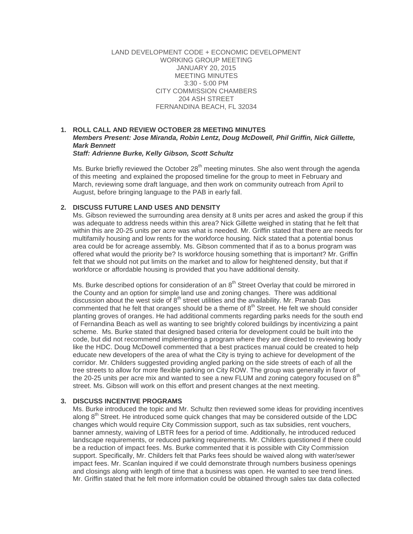LAND DEVELOPMENT CODE + ECONOMIC DEVELOPMENT WORKING GROUP MEETING JANUARY 20, 2015 MEETING MINUTES 3:30 - 5:00 PM CITY COMMISSION CHAMBERS 204 ASH STREET FERNANDINA BEACH, FL 32034

#### **1. ROLL CALL AND REVIEW OCTOBER 28 MEETING MINUTES** *Members Present: Jose Miranda, Robin Lentz, Doug McDowell, Phil Griffin, Nick Gillette, Mark Bennett Staff: Adrienne Burke, Kelly Gibson, Scott Schultz*

Ms. Burke briefly reviewed the October  $28<sup>th</sup>$  meeting minutes. She also went through the agenda of this meeting and explained the proposed timeline for the group to meet in February and March, reviewing some draft language, and then work on community outreach from April to August, before bringing language to the PAB in early fall.

### **2. DISCUSS FUTURE LAND USES AND DENSITY**

Ms. Gibson reviewed the surrounding area density at 8 units per acres and asked the group if this was adequate to address needs within this area? Nick Gillette weighed in stating that he felt that within this are 20-25 units per acre was what is needed. Mr. Griffin stated that there are needs for multifamily housing and low rents for the workforce housing. Nick stated that a potential bonus area could be for acreage assembly. Ms. Gibson commented that if as to a bonus program was offered what would the priority be? Is workforce housing something that is important? Mr. Griffin felt that we should not put limits on the market and to allow for heightened density, but that if workforce or affordable housing is provided that you have additional density.

Ms. Burke described options for consideration of an  $8<sup>th</sup>$  Street Overlay that could be mirrored in the County and an option for simple land use and zoning changes. There was additional discussion about the west side of  $8<sup>th</sup>$  street utilities and the availability. Mr. Pranab Das commented that he felt that oranges should be a theme of  $8<sup>th</sup>$  Street. He felt we should consider planting groves of oranges. He had additional comments regarding parks needs for the south end of Fernandina Beach as well as wanting to see brightly colored buildings by incentivizing a paint scheme. Ms. Burke stated that designed based criteria for development could be built into the code, but did not recommend implementing a program where they are directed to reviewing body like the HDC. Doug McDowell commented that a best practices manual could be created to help educate new developers of the area of what the City is trying to achieve for development of the corridor. Mr. Childers suggested providing angled parking on the side streets of each of all the tree streets to allow for more flexible parking on City ROW. The group was generally in favor of the 20-25 units per acre mix and wanted to see a new FLUM and zoning category focused on  $8<sup>th</sup>$ street. Ms. Gibson will work on this effort and present changes at the next meeting.

# **3. DISCUSS INCENTIVE PROGRAMS**

Ms. Burke introduced the topic and Mr. Schultz then reviewed some ideas for providing incentives along  $8<sup>th</sup>$  Street. He introduced some quick changes that may be considered outside of the LDC changes which would require City Commission support, such as tax subsidies, rent vouchers, banner amnesty, waiving of LBTR fees for a period of time. Additionally, he introduced reduced landscape requirements, or reduced parking requirements. Mr. Childers questioned if there could be a reduction of impact fees. Ms. Burke commented that it is possible with City Commission support. Specifically, Mr. Childers felt that Parks fees should be waived along with water/sewer impact fees. Mr. Scanlan inquired if we could demonstrate through numbers business openings and closings along with length of time that a business was open. He wanted to see trend lines. Mr. Griffin stated that he felt more information could be obtained through sales tax data collected